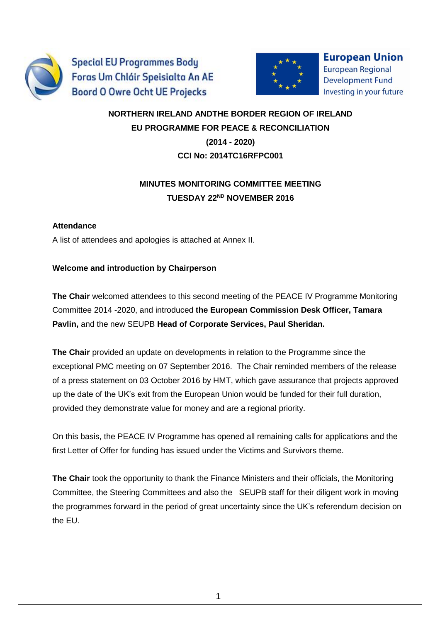

**Special EU Programmes Body** Foras Um Chláir Speisialta An AE **Boord O Owre Ocht UE Projecks** 



**European Union European Regional Development Fund** Investing in your future

## **NORTHERN IRELAND ANDTHE BORDER REGION OF IRELAND EU PROGRAMME FOR PEACE & RECONCILIATION (2014 - 2020) CCI No: 2014TC16RFPC001**

## **MINUTES MONITORING COMMITTEE MEETING TUESDAY 22ND NOVEMBER 2016**

#### **Attendance**

A list of attendees and apologies is attached at Annex II.

### **Welcome and introduction by Chairperson**

**The Chair** welcomed attendees to this second meeting of the PEACE IV Programme Monitoring Committee 2014 -2020, and introduced **the European Commission Desk Officer, Tamara Pavlin,** and the new SEUPB **Head of Corporate Services, Paul Sheridan.**

**The Chair** provided an update on developments in relation to the Programme since the exceptional PMC meeting on 07 September 2016. The Chair reminded members of the release of a press statement on 03 October 2016 by HMT, which gave assurance that projects approved up the date of the UK's exit from the European Union would be funded for their full duration, provided they demonstrate value for money and are a regional priority.

On this basis, the PEACE IV Programme has opened all remaining calls for applications and the first Letter of Offer for funding has issued under the Victims and Survivors theme.

**The Chair** took the opportunity to thank the Finance Ministers and their officials, the Monitoring Committee, the Steering Committees and also the SEUPB staff for their diligent work in moving the programmes forward in the period of great uncertainty since the UK's referendum decision on the EU.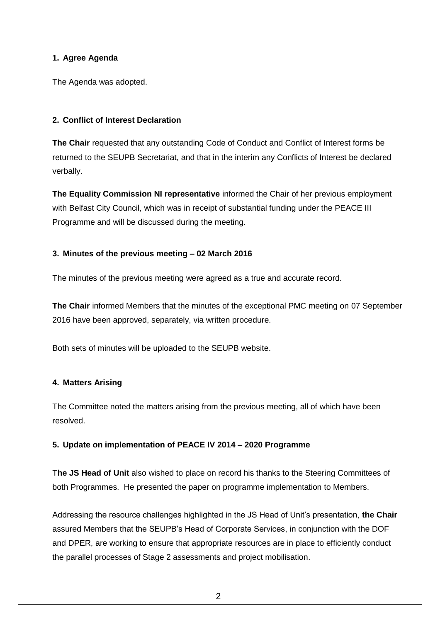#### **1. Agree Agenda**

The Agenda was adopted.

#### **2. Conflict of Interest Declaration**

**The Chair** requested that any outstanding Code of Conduct and Conflict of Interest forms be returned to the SEUPB Secretariat, and that in the interim any Conflicts of Interest be declared verbally.

**The Equality Commission NI representative** informed the Chair of her previous employment with Belfast City Council, which was in receipt of substantial funding under the PEACE III Programme and will be discussed during the meeting.

#### **3. Minutes of the previous meeting – 02 March 2016**

The minutes of the previous meeting were agreed as a true and accurate record.

**The Chair** informed Members that the minutes of the exceptional PMC meeting on 07 September 2016 have been approved, separately, via written procedure.

Both sets of minutes will be uploaded to the SEUPB website.

#### **4. Matters Arising**

The Committee noted the matters arising from the previous meeting, all of which have been resolved.

#### **5. Update on implementation of PEACE IV 2014 – 2020 Programme**

T**he JS Head of Unit** also wished to place on record his thanks to the Steering Committees of both Programmes. He presented the paper on programme implementation to Members.

Addressing the resource challenges highlighted in the JS Head of Unit's presentation, **the Chair** assured Members that the SEUPB's Head of Corporate Services, in conjunction with the DOF and DPER, are working to ensure that appropriate resources are in place to efficiently conduct the parallel processes of Stage 2 assessments and project mobilisation.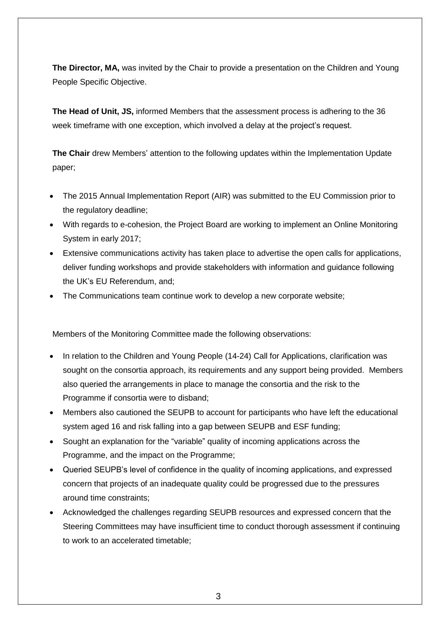**The Director, MA,** was invited by the Chair to provide a presentation on the Children and Young People Specific Objective.

**The Head of Unit, JS,** informed Members that the assessment process is adhering to the 36 week timeframe with one exception, which involved a delay at the project's request.

**The Chair** drew Members' attention to the following updates within the Implementation Update paper;

- The 2015 Annual Implementation Report (AIR) was submitted to the EU Commission prior to the regulatory deadline;
- With regards to e-cohesion, the Project Board are working to implement an Online Monitoring System in early 2017;
- Extensive communications activity has taken place to advertise the open calls for applications, deliver funding workshops and provide stakeholders with information and guidance following the UK's EU Referendum, and;
- The Communications team continue work to develop a new corporate website;

Members of the Monitoring Committee made the following observations:

- In relation to the Children and Young People (14-24) Call for Applications, clarification was sought on the consortia approach, its requirements and any support being provided. Members also queried the arrangements in place to manage the consortia and the risk to the Programme if consortia were to disband;
- Members also cautioned the SEUPB to account for participants who have left the educational system aged 16 and risk falling into a gap between SEUPB and ESF funding;
- Sought an explanation for the "variable" quality of incoming applications across the Programme, and the impact on the Programme;
- Queried SEUPB's level of confidence in the quality of incoming applications, and expressed concern that projects of an inadequate quality could be progressed due to the pressures around time constraints;
- Acknowledged the challenges regarding SEUPB resources and expressed concern that the Steering Committees may have insufficient time to conduct thorough assessment if continuing to work to an accelerated timetable;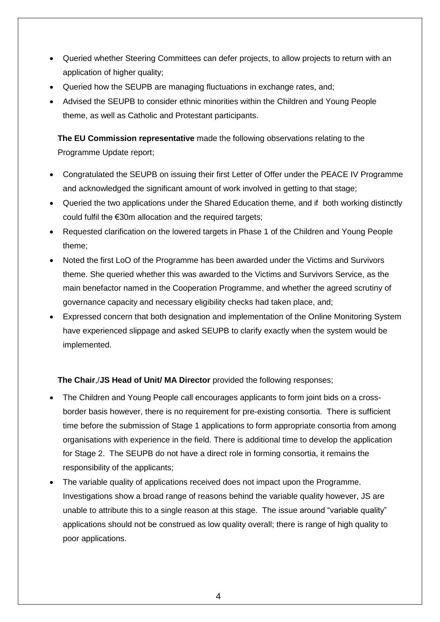- Queried whether Steering Committees can defer projects, to allow projects to return with an application of higher quality;
- Queried how the SEUPB are managing fluctuations in exchange rates, and;
- Advised the SEUPB to consider ethnic minorities within the Children and Young People theme, as well as Catholic and Protestant participants.

**The EU Commission representative** made the following observations relating to the Programme Update report;

- Congratulated the SEUPB on issuing their first Letter of Offer under the PEACE IV Programme and acknowledged the significant amount of work involved in getting to that stage;
- Queried the two applications under the Shared Education theme, and if both working distinctly could fulfil the €30m allocation and the required targets;
- Requested clarification on the lowered targets in Phase 1 of the Children and Young People theme;
- Noted the first LoO of the Programme has been awarded under the Victims and Survivors theme. She queried whether this was awarded to the Victims and Survivors Service, as the main benefactor named in the Cooperation Programme, and whether the agreed scrutiny of governance capacity and necessary eligibility checks had taken place, and;
- Expressed concern that both designation and implementation of the Online Monitoring System have experienced slippage and asked SEUPB to clarify exactly when the system would be implemented.

#### **The Chair**,/**JS Head of Unit/ MA Director** provided the following responses;

- The Children and Young People call encourages applicants to form joint bids on a crossborder basis however, there is no requirement for pre-existing consortia. There is sufficient time before the submission of Stage 1 applications to form appropriate consortia from among organisations with experience in the field. There is additional time to develop the application for Stage 2. The SEUPB do not have a direct role in forming consortia, it remains the responsibility of the applicants;
- The variable quality of applications received does not impact upon the Programme. Investigations show a broad range of reasons behind the variable quality however, JS are unable to attribute this to a single reason at this stage. The issue around "variable quality" applications should not be construed as low quality overall; there is range of high quality to poor applications.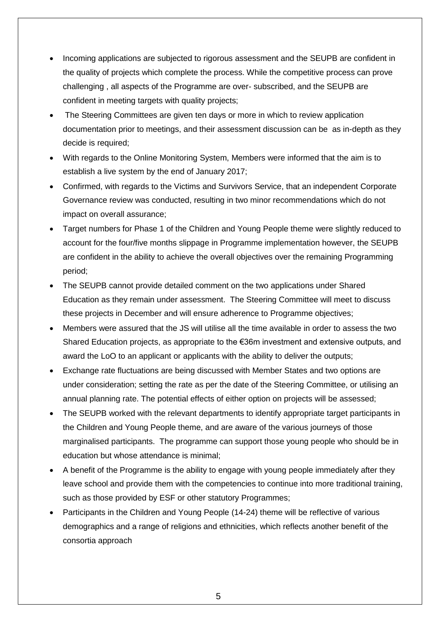- Incoming applications are subjected to rigorous assessment and the SEUPB are confident in the quality of projects which complete the process. While the competitive process can prove challenging , all aspects of the Programme are over- subscribed, and the SEUPB are confident in meeting targets with quality projects;
- The Steering Committees are given ten days or more in which to review application documentation prior to meetings, and their assessment discussion can be as in-depth as they decide is required;
- With regards to the Online Monitoring System, Members were informed that the aim is to establish a live system by the end of January 2017;
- Confirmed, with regards to the Victims and Survivors Service, that an independent Corporate Governance review was conducted, resulting in two minor recommendations which do not impact on overall assurance;
- Target numbers for Phase 1 of the Children and Young People theme were slightly reduced to account for the four/five months slippage in Programme implementation however, the SEUPB are confident in the ability to achieve the overall objectives over the remaining Programming period;
- The SEUPB cannot provide detailed comment on the two applications under Shared Education as they remain under assessment. The Steering Committee will meet to discuss these projects in December and will ensure adherence to Programme objectives;
- Members were assured that the JS will utilise all the time available in order to assess the two Shared Education projects, as appropriate to the €36m investment and extensive outputs, and award the LoO to an applicant or applicants with the ability to deliver the outputs;
- Exchange rate fluctuations are being discussed with Member States and two options are under consideration; setting the rate as per the date of the Steering Committee, or utilising an annual planning rate. The potential effects of either option on projects will be assessed;
- The SEUPB worked with the relevant departments to identify appropriate target participants in the Children and Young People theme, and are aware of the various journeys of those marginalised participants. The programme can support those young people who should be in education but whose attendance is minimal;
- A benefit of the Programme is the ability to engage with young people immediately after they leave school and provide them with the competencies to continue into more traditional training, such as those provided by ESF or other statutory Programmes;
- Participants in the Children and Young People (14-24) theme will be reflective of various demographics and a range of religions and ethnicities, which reflects another benefit of the consortia approach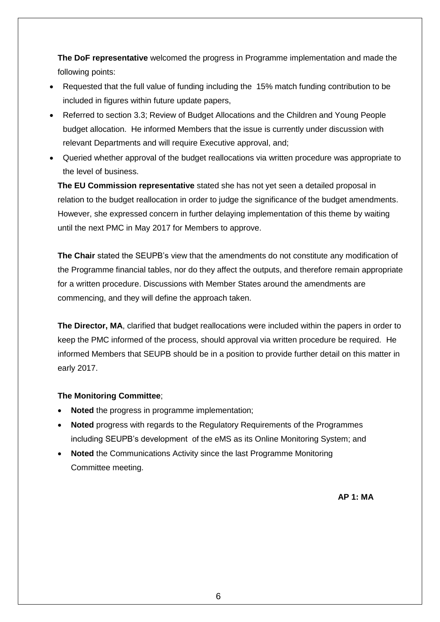**The DoF representative** welcomed the progress in Programme implementation and made the following points:

- Requested that the full value of funding including the 15% match funding contribution to be included in figures within future update papers,
- Referred to section 3.3; Review of Budget Allocations and the Children and Young People budget allocation. He informed Members that the issue is currently under discussion with relevant Departments and will require Executive approval, and;
- Queried whether approval of the budget reallocations via written procedure was appropriate to the level of business.

**The EU Commission representative** stated she has not yet seen a detailed proposal in relation to the budget reallocation in order to judge the significance of the budget amendments. However, she expressed concern in further delaying implementation of this theme by waiting until the next PMC in May 2017 for Members to approve.

**The Chair** stated the SEUPB's view that the amendments do not constitute any modification of the Programme financial tables, nor do they affect the outputs, and therefore remain appropriate for a written procedure. Discussions with Member States around the amendments are commencing, and they will define the approach taken.

**The Director, MA**, clarified that budget reallocations were included within the papers in order to keep the PMC informed of the process, should approval via written procedure be required. He informed Members that SEUPB should be in a position to provide further detail on this matter in early 2017.

#### **The Monitoring Committee**;

- **Noted** the progress in programme implementation;
- **Noted** progress with regards to the Regulatory Requirements of the Programmes including SEUPB's development of the eMS as its Online Monitoring System; and
- **Noted** the Communications Activity since the last Programme Monitoring Committee meeting.

**AP 1: MA**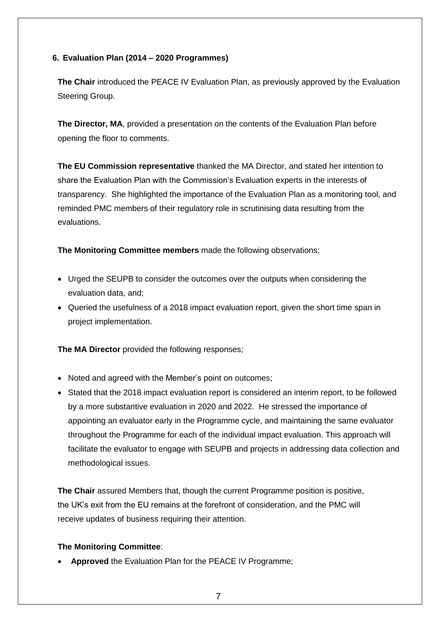#### **6. Evaluation Plan (2014 – 2020 Programmes)**

**The Chair** introduced the PEACE IV Evaluation Plan, as previously approved by the Evaluation Steering Group.

**The Director, MA**, provided a presentation on the contents of the Evaluation Plan before opening the floor to comments.

**The EU Commission representative** thanked the MA Director, and stated her intention to share the Evaluation Plan with the Commission's Evaluation experts in the interests of transparency. She highlighted the importance of the Evaluation Plan as a monitoring tool, and reminded PMC members of their regulatory role in scrutinising data resulting from the evaluations.

**The Monitoring Committee members** made the following observations;

- Urged the SEUPB to consider the outcomes over the outputs when considering the evaluation data, and;
- Queried the usefulness of a 2018 impact evaluation report, given the short time span in project implementation.

**The MA Director** provided the following responses;

- Noted and agreed with the Member's point on outcomes;
- Stated that the 2018 impact evaluation report is considered an interim report, to be followed by a more substantive evaluation in 2020 and 2022. He stressed the importance of appointing an evaluator early in the Programme cycle, and maintaining the same evaluator throughout the Programme for each of the individual impact evaluation. This approach will facilitate the evaluator to engage with SEUPB and projects in addressing data collection and methodological issues.

**The Chair** assured Members that, though the current Programme position is positive, the UK's exit from the EU remains at the forefront of consideration, and the PMC will receive updates of business requiring their attention.

#### **The Monitoring Committee**:

**Approved** the Evaluation Plan for the PEACE IV Programme;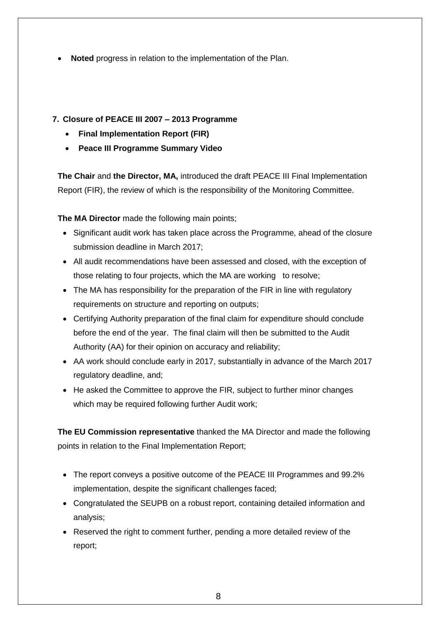**Noted** progress in relation to the implementation of the Plan.

### **7. Closure of PEACE III 2007 – 2013 Programme**

- **Final Implementation Report (FIR)**
- **Peace III Programme Summary Video**

**The Chair** and **the Director, MA,** introduced the draft PEACE III Final Implementation Report (FIR), the review of which is the responsibility of the Monitoring Committee.

**The MA Director** made the following main points;

- Significant audit work has taken place across the Programme, ahead of the closure submission deadline in March 2017;
- All audit recommendations have been assessed and closed, with the exception of those relating to four projects, which the MA are working to resolve;
- The MA has responsibility for the preparation of the FIR in line with regulatory requirements on structure and reporting on outputs;
- Certifying Authority preparation of the final claim for expenditure should conclude before the end of the year. The final claim will then be submitted to the Audit Authority (AA) for their opinion on accuracy and reliability;
- AA work should conclude early in 2017, substantially in advance of the March 2017 regulatory deadline, and;
- He asked the Committee to approve the FIR, subject to further minor changes which may be required following further Audit work;

**The EU Commission representative** thanked the MA Director and made the following points in relation to the Final Implementation Report;

- The report conveys a positive outcome of the PEACE III Programmes and 99.2% implementation, despite the significant challenges faced;
- Congratulated the SEUPB on a robust report, containing detailed information and analysis;
- Reserved the right to comment further, pending a more detailed review of the report;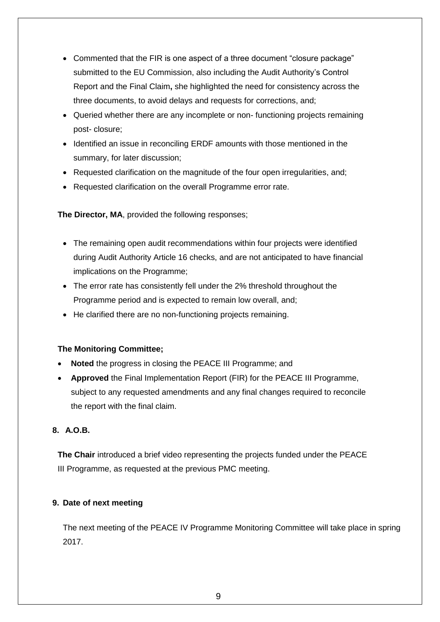- Commented that the FIR is one aspect of a three document "closure package" submitted to the EU Commission, also including the Audit Authority's Control Report and the Final Claim**,** she highlighted the need for consistency across the three documents, to avoid delays and requests for corrections, and;
- Queried whether there are any incomplete or non-functioning projects remaining post- closure;
- Identified an issue in reconciling ERDF amounts with those mentioned in the summary, for later discussion;
- Requested clarification on the magnitude of the four open irregularities, and;
- Requested clarification on the overall Programme error rate.

**The Director, MA**, provided the following responses;

- The remaining open audit recommendations within four projects were identified during Audit Authority Article 16 checks, and are not anticipated to have financial implications on the Programme;
- The error rate has consistently fell under the 2% threshold throughout the Programme period and is expected to remain low overall, and;
- He clarified there are no non-functioning projects remaining.

#### **The Monitoring Committee;**

- **Noted** the progress in closing the PEACE III Programme; and
- **Approved** the Final Implementation Report (FIR) for the PEACE III Programme, subject to any requested amendments and any final changes required to reconcile the report with the final claim.

#### **8. A.O.B.**

**The Chair** introduced a brief video representing the projects funded under the PEACE III Programme, as requested at the previous PMC meeting.

#### **9. Date of next meeting**

The next meeting of the PEACE IV Programme Monitoring Committee will take place in spring 2017.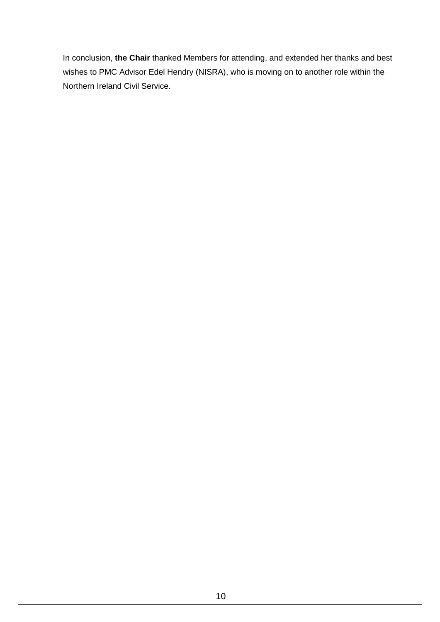In conclusion, **the Chair** thanked Members for attending, and extended her thanks and best wishes to PMC Advisor Edel Hendry (NISRA), who is moving on to another role within the Northern Ireland Civil Service.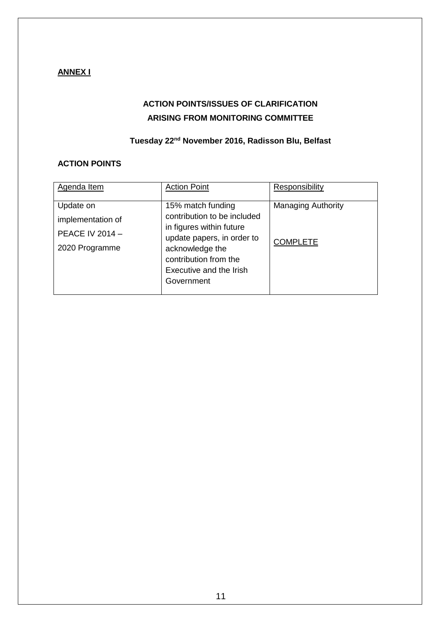## **ANNEX I**

## **ACTION POINTS/ISSUES OF CLARIFICATION ARISING FROM MONITORING COMMITTEE**

## **Tuesday 22nd November 2016, Radisson Blu, Belfast**

#### **ACTION POINTS**

| Agenda Item                                                                | <b>Action Point</b>                                                                                                                                                                             | Responsibility                               |
|----------------------------------------------------------------------------|-------------------------------------------------------------------------------------------------------------------------------------------------------------------------------------------------|----------------------------------------------|
| Update on<br>implementation of<br><b>PEACE IV 2014 -</b><br>2020 Programme | 15% match funding<br>contribution to be included<br>in figures within future<br>update papers, in order to<br>acknowledge the<br>contribution from the<br>Executive and the Irish<br>Government | <b>Managing Authority</b><br><b>COMPLETE</b> |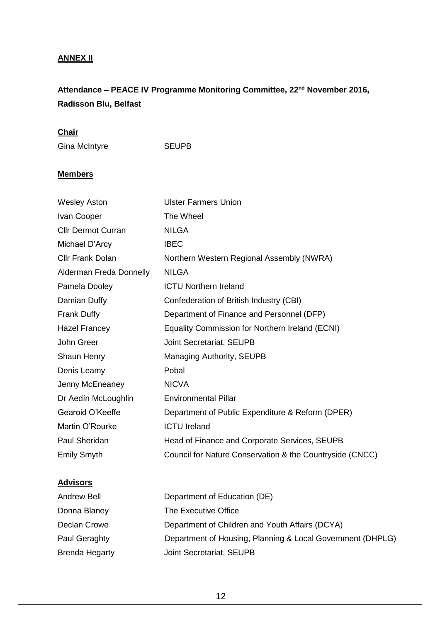## **ANNEX II**

# **Attendance – PEACE IV Programme Monitoring Committee, 22nd November 2016, Radisson Blu, Belfast**

#### **Chair**

Gina McIntyre SEUPB

#### **Members**

| <b>Wesley Aston</b>       | <b>Ulster Farmers Union</b>                              |
|---------------------------|----------------------------------------------------------|
| Ivan Cooper               | The Wheel                                                |
| <b>Cllr Dermot Curran</b> | <b>NILGA</b>                                             |
| Michael D'Arcy            | <b>IBEC</b>                                              |
| <b>Cllr Frank Dolan</b>   | Northern Western Regional Assembly (NWRA)                |
| Alderman Freda Donnelly   | <b>NILGA</b>                                             |
| Pamela Dooley             | <b>ICTU Northern Ireland</b>                             |
| Damian Duffy              | Confederation of British Industry (CBI)                  |
| <b>Frank Duffy</b>        | Department of Finance and Personnel (DFP)                |
| Hazel Francey             | Equality Commission for Northern Ireland (ECNI)          |
| John Greer                | Joint Secretariat, SEUPB                                 |
| Shaun Henry               | Managing Authority, SEUPB                                |
| Denis Leamy               | Pobal                                                    |
| Jenny McEneaney           | <b>NICVA</b>                                             |
| Dr Aedín McLoughlin       | <b>Environmental Pillar</b>                              |
| Gearoid O'Keeffe          | Department of Public Expenditure & Reform (DPER)         |
| Martin O'Rourke           | <b>ICTU Ireland</b>                                      |
| Paul Sheridan             | Head of Finance and Corporate Services, SEUPB            |
| <b>Emily Smyth</b>        | Council for Nature Conservation & the Countryside (CNCC) |

## **Advisors**

| <b>Andrew Bell</b>    | Department of Education (DE)                               |
|-----------------------|------------------------------------------------------------|
| Donna Blaney          | The Executive Office                                       |
| Declan Crowe          | Department of Children and Youth Affairs (DCYA)            |
| Paul Geraghty         | Department of Housing, Planning & Local Government (DHPLG) |
| <b>Brenda Hegarty</b> | Joint Secretariat, SEUPB                                   |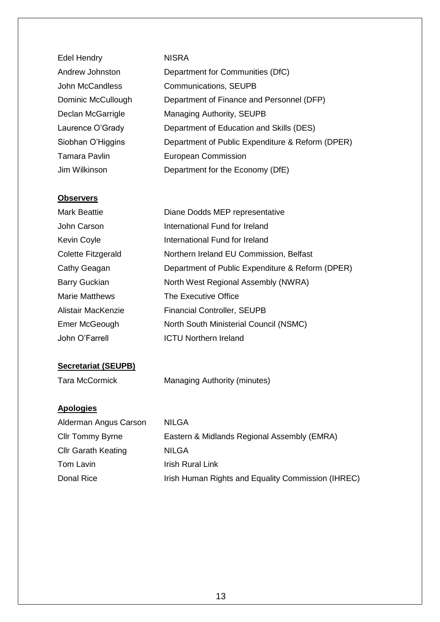| <b>Edel Hendry</b>   | <b>NISRA</b>                                     |
|----------------------|--------------------------------------------------|
| Andrew Johnston      | Department for Communities (DfC)                 |
| John McCandless      | Communications, SEUPB                            |
| Dominic McCullough   | Department of Finance and Personnel (DFP)        |
| Declan McGarrigle    | Managing Authority, SEUPB                        |
| Laurence O'Grady     | Department of Education and Skills (DES)         |
| Siobhan O'Higgins    | Department of Public Expenditure & Reform (DPER) |
| <b>Tamara Pavlin</b> | <b>European Commission</b>                       |
| Jim Wilkinson        | Department for the Economy (DfE)                 |

#### **Observers**

| <b>Mark Beattie</b>   | Diane Dodds MEP representative                   |
|-----------------------|--------------------------------------------------|
| John Carson           | International Fund for Ireland                   |
| <b>Kevin Coyle</b>    | International Fund for Ireland                   |
| Colette Fitzgerald    | Northern Ireland EU Commission, Belfast          |
| Cathy Geagan          | Department of Public Expenditure & Reform (DPER) |
| <b>Barry Guckian</b>  | North West Regional Assembly (NWRA)              |
| <b>Marie Matthews</b> | The Executive Office                             |
| Alistair MacKenzie    | <b>Financial Controller, SEUPB</b>               |
| Emer McGeough         | North South Ministerial Council (NSMC)           |
| John O'Farrell        | <b>ICTU Northern Ireland</b>                     |
|                       |                                                  |

## **Secretariat (SEUPB)**

| <b>Tara McCormick</b> | Managing Authority (minutes) |  |
|-----------------------|------------------------------|--|
|                       |                              |  |

## **Apologies**

| Alderman Angus Carson      | <b>NILGA</b>                                       |
|----------------------------|----------------------------------------------------|
| <b>Cllr Tommy Byrne</b>    | Eastern & Midlands Regional Assembly (EMRA)        |
| <b>Cllr Garath Keating</b> | <b>NILGA</b>                                       |
| Tom Lavin                  | <b>Irish Rural Link</b>                            |
| Donal Rice                 | Irish Human Rights and Equality Commission (IHREC) |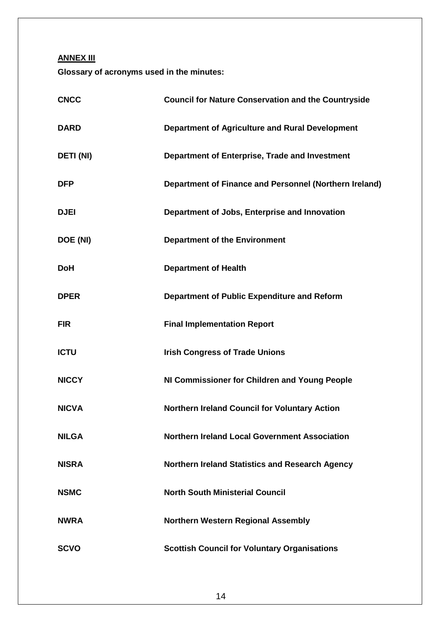**ANNEX III**

**Glossary of acronyms used in the minutes:**

| <b>CNCC</b>      | <b>Council for Nature Conservation and the Countryside</b> |
|------------------|------------------------------------------------------------|
| <b>DARD</b>      | <b>Department of Agriculture and Rural Development</b>     |
| <b>DETI (NI)</b> | Department of Enterprise, Trade and Investment             |
| <b>DFP</b>       | Department of Finance and Personnel (Northern Ireland)     |
| <b>DJEI</b>      | Department of Jobs, Enterprise and Innovation              |
| DOE (NI)         | <b>Department of the Environment</b>                       |
| <b>DoH</b>       | <b>Department of Health</b>                                |
| <b>DPER</b>      | Department of Public Expenditure and Reform                |
| <b>FIR</b>       | <b>Final Implementation Report</b>                         |
| <b>ICTU</b>      | <b>Irish Congress of Trade Unions</b>                      |
| <b>NICCY</b>     | NI Commissioner for Children and Young People              |
| <b>NICVA</b>     | <b>Northern Ireland Council for Voluntary Action</b>       |
| <b>NILGA</b>     | <b>Northern Ireland Local Government Association</b>       |
| <b>NISRA</b>     | <b>Northern Ireland Statistics and Research Agency</b>     |
| <b>NSMC</b>      | <b>North South Ministerial Council</b>                     |
| <b>NWRA</b>      | <b>Northern Western Regional Assembly</b>                  |
| <b>SCVO</b>      | <b>Scottish Council for Voluntary Organisations</b>        |